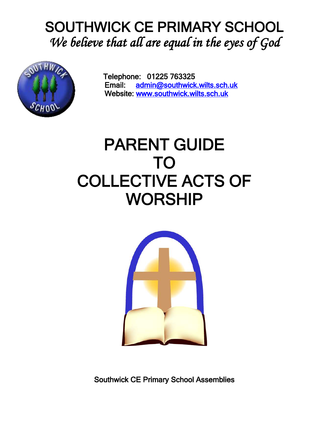# SOUTHWICK CE PRIMARY SCHOOL *We believe that all are equal in the eyes of God*



Telephone: 01225 763325 Email: [admin@southwick.wilts.sch.uk](mailto:admin@southwick.wilts.sch.uk)  Website: [www.southwick.wilts.sch.uk](http://www.southwick.wilts.sch.uk/) 

# PARENT GUIDE TO COLLECTIVE ACTS OF WORSHIP



Southwick CE Primary School Assemblies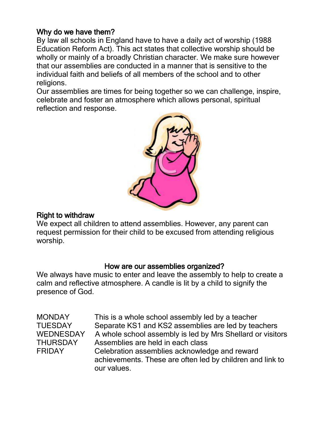## Why do we have them?

By law all schools in England have to have a daily act of worship (1988 Education Reform Act). This act states that collective worship should be wholly or mainly of a broadly Christian character. We make sure however that our assemblies are conducted in a manner that is sensitive to the individual faith and beliefs of all members of the school and to other religions.

Our assemblies are times for being together so we can challenge, inspire, celebrate and foster an atmosphere which allows personal, spiritual reflection and response.



### Right to withdraw

We expect all children to attend assemblies. However, any parent can request permission for their child to be excused from attending religious worship.

#### How are our assemblies organized?

We always have music to enter and leave the assembly to help to create a calm and reflective atmosphere. A candle is lit by a child to signify the presence of God.

MONDAY This is a whole school assembly led by a teacher TUESDAY Separate KS1 and KS2 assemblies are led by teachers WEDNESDAY A whole school assembly is led by Mrs Shellard or visitors THURSDAY Assemblies are held in each class FRIDAY Celebration assemblies acknowledge and reward achievements. These are often led by children and link to our values.